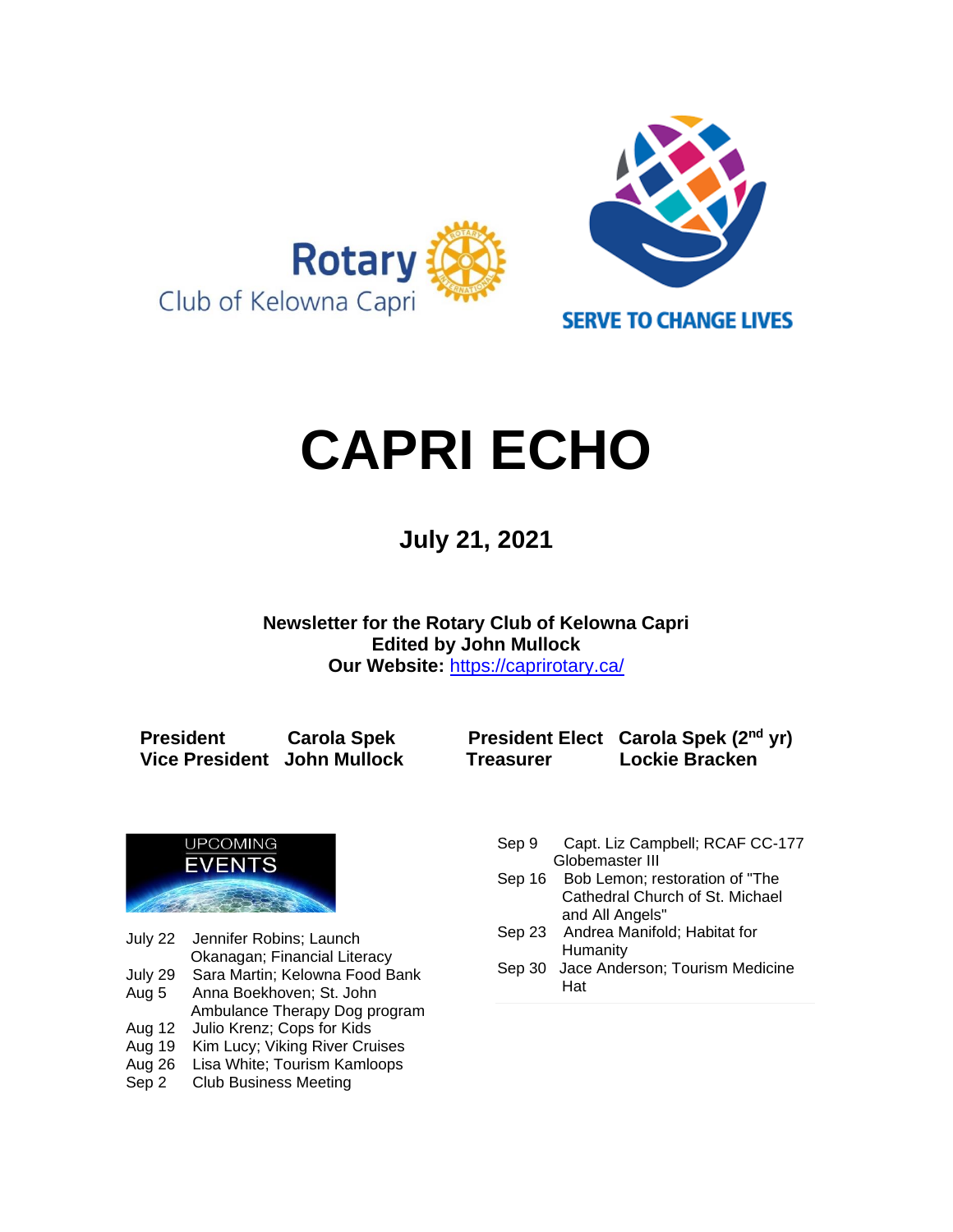

# **CAPRI ECHO**

 **July 21, <sup>2021</sup>**

**Newsletter for the Rotary Club of Kelowna Capri Edited by John Mullock Our Website:** <https://caprirotary.ca/>

**President Carola Spek President Elect Carola Spek (2nd yr) Vice President John Mullock Treasurer Lockie Bracken**



July 22 Jennifer Robins; Launch Okanagan; Financial Literacy<br>July 29 Sara Martin; Kelowna Food B

Sara Martin; Kelowna Food Bank

Aug 5 Anna Boekhoven; St. John

- Ambulance Therapy Dog program Aug 12 Julio Krenz; Cops for Kids
- Aug 19 Kim Lucy; Viking River Cruises
- Aug 26 Lisa White; Tourism Kamloops
- Sep 2 Club Business Meeting
- Sep 9 Capt. Liz Campbell; RCAF CC-177 Globemaster III
- Sep 16 Bob Lemon; restoration of "The **Cathedral Church of St. Michael** and All Angels"
- Sep 23 Andrea Manifold; Habitat for **Humanity**
- Sep 30 Jace Anderson; Tourism Medicine Hat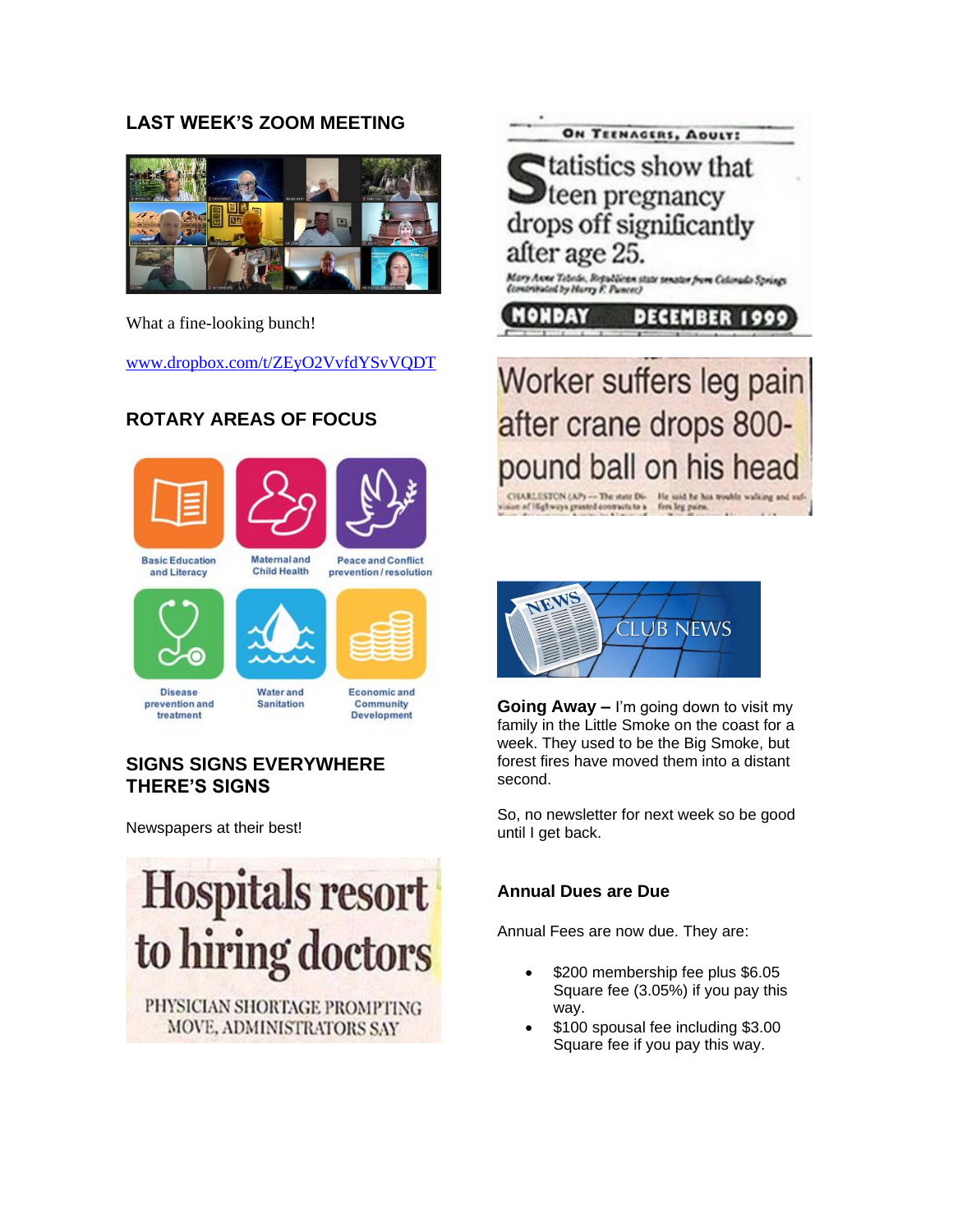# **LAST WEEK'S ZOOM MEETING**



What a fine-looking bunch!

[www.dropbox.com/t/ZEyO2VvfdYSvVQDT](http://www.dropbox.com/t/ZEyO2VvfdYSvVQDT)

# **ROTARY AREAS OF FOCUS**





**Basic Education** and Literacy

**Peace and Conflict** prevention/resolution





**Maternal and** 

**Child Health** 



**Disease** prevention and treatment

**Water and** Sanitation

Economic and Community Development

# **SIGNS SIGNS EVERYWHERE THERE'S SIGNS**

Newspapers at their best!



MOVE, ADMINISTRATORS SAY





**Going Away –** I'm going down to visit my family in the Little Smoke on the coast for a week. They used to be the Big Smoke, but forest fires have moved them into a distant second.

So, no newsletter for next week so be good until I get back.

# **Annual Dues are Due**

Annual Fees are now due. They are:

- \$200 membership fee plus \$6.05 Square fee (3.05%) if you pay this way.
- \$100 spousal fee including \$3.00 Square fee if you pay this way.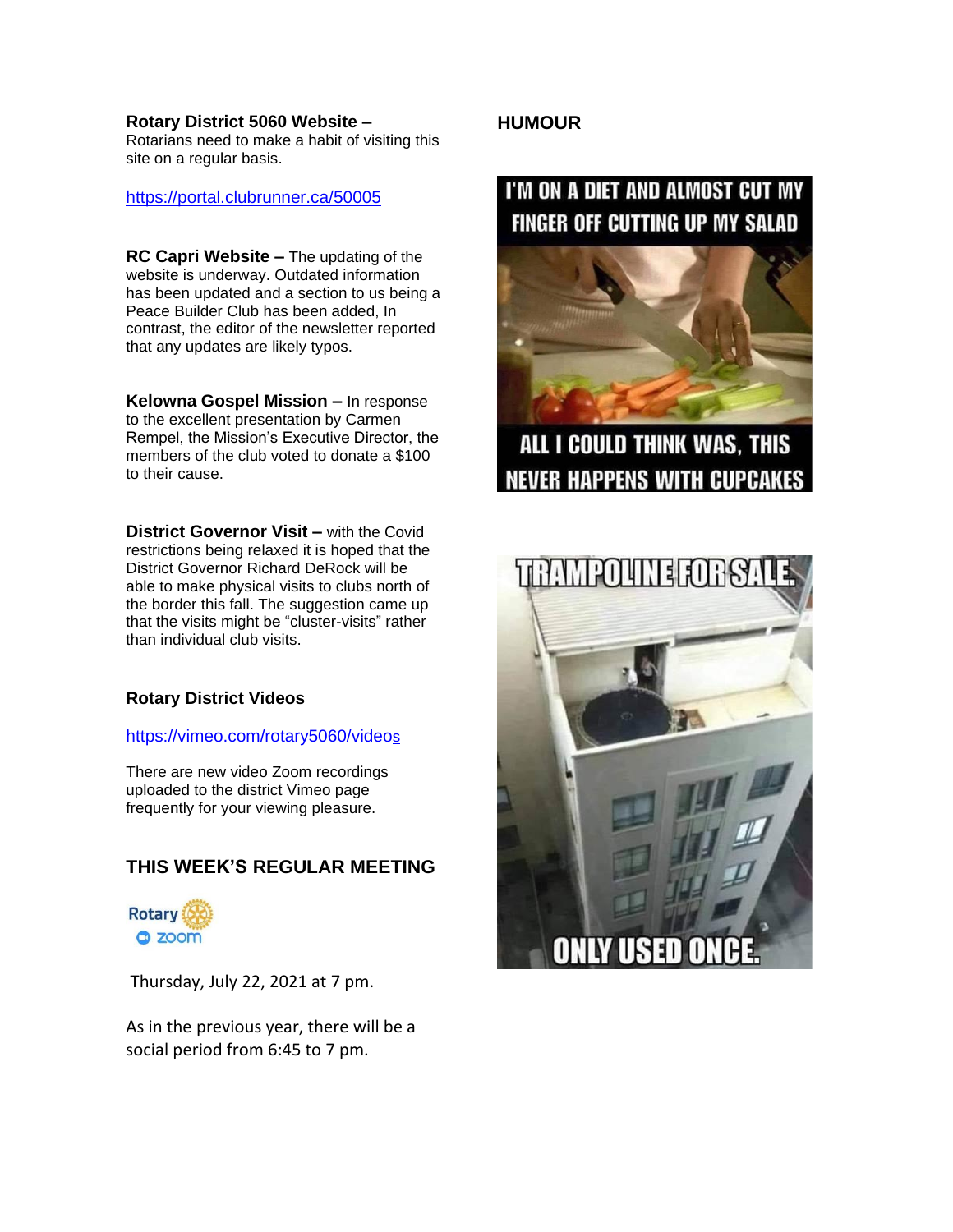#### **Rotary District 5060 Website –**

Rotarians need to make a habit of visiting this site on a regular basis.

#### <https://portal.clubrunner.ca/50005>

**RC Capri Website –** The updating of the website is underway. Outdated information has been updated and a section to us being a Peace Builder Club has been added, In contrast, the editor of the newsletter reported that any updates are likely typos.

**Kelowna Gospel Mission –** In response to the excellent presentation by Carmen Rempel, the Mission's Executive Director, the members of the club voted to donate a \$100 to their cause.

**District Governor Visit –** with the Covid restrictions being relaxed it is hoped that the District Governor Richard DeRock will be able to make physical visits to clubs north of the border this fall. The suggestion came up that the visits might be "cluster-visits" rather than individual club visits.

#### **Rotary District Videos**

#### [https://vimeo.com/rotary5060/video](https://vimeo.com/rotary5060/videos)[s](https://vimeo.com/rotary5060/videos)

There are new video Zoom recordings uploaded to the district Vimeo page frequently for your viewing pleasure.

# **THIS WEEK'S REGULAR MEETING**



Thursday, July 22, 2021 at 7 pm.

As in the previous year, there will be a social period from 6:45 to 7 pm.

# **HUMOUR**

# I'M ON A DIET AND ALMOST CUT MY **FINGER OFF CUTTING UP MY SALAD**



ALL I COULD THINK WAS, THIS **NEVER HAPPENS WITH CUPCAKES** 

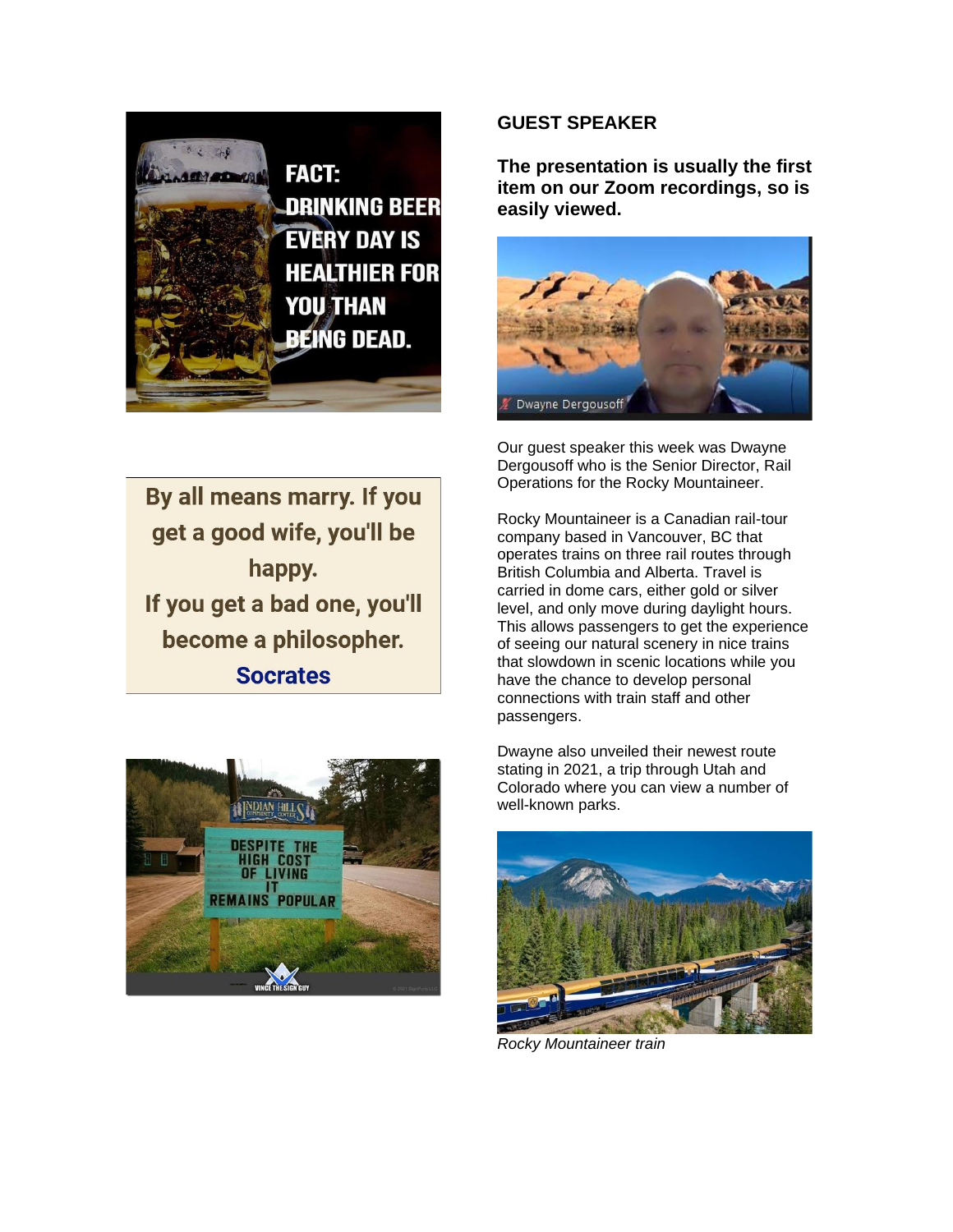

By all means marry. If you get a good wife, you'll be happy. If you get a bad one, you'll become a philosopher. **Socrates** 



# **GUEST SPEAKER**

**The presentation is usually the first item on our Zoom recordings, so is easily viewed.** 



Our guest speaker this week was Dwayne Dergousoff who is the Senior Director, Rail Operations for the Rocky Mountaineer.

Rocky Mountaineer is a Canadian rail-tour company based in Vancouver, BC that operates trains on three rail routes through British Columbia and Alberta. Travel is carried in dome cars, either gold or silver level, and only move during daylight hours. This allows passengers to get the experience of seeing our natural scenery in nice trains that slowdown in scenic locations while you have the chance to develop personal connections with train staff and other passengers.

Dwayne also unveiled their newest route stating in 2021, a trip through Utah and Colorado where you can view a number of well-known parks.



*Rocky Mountaineer train*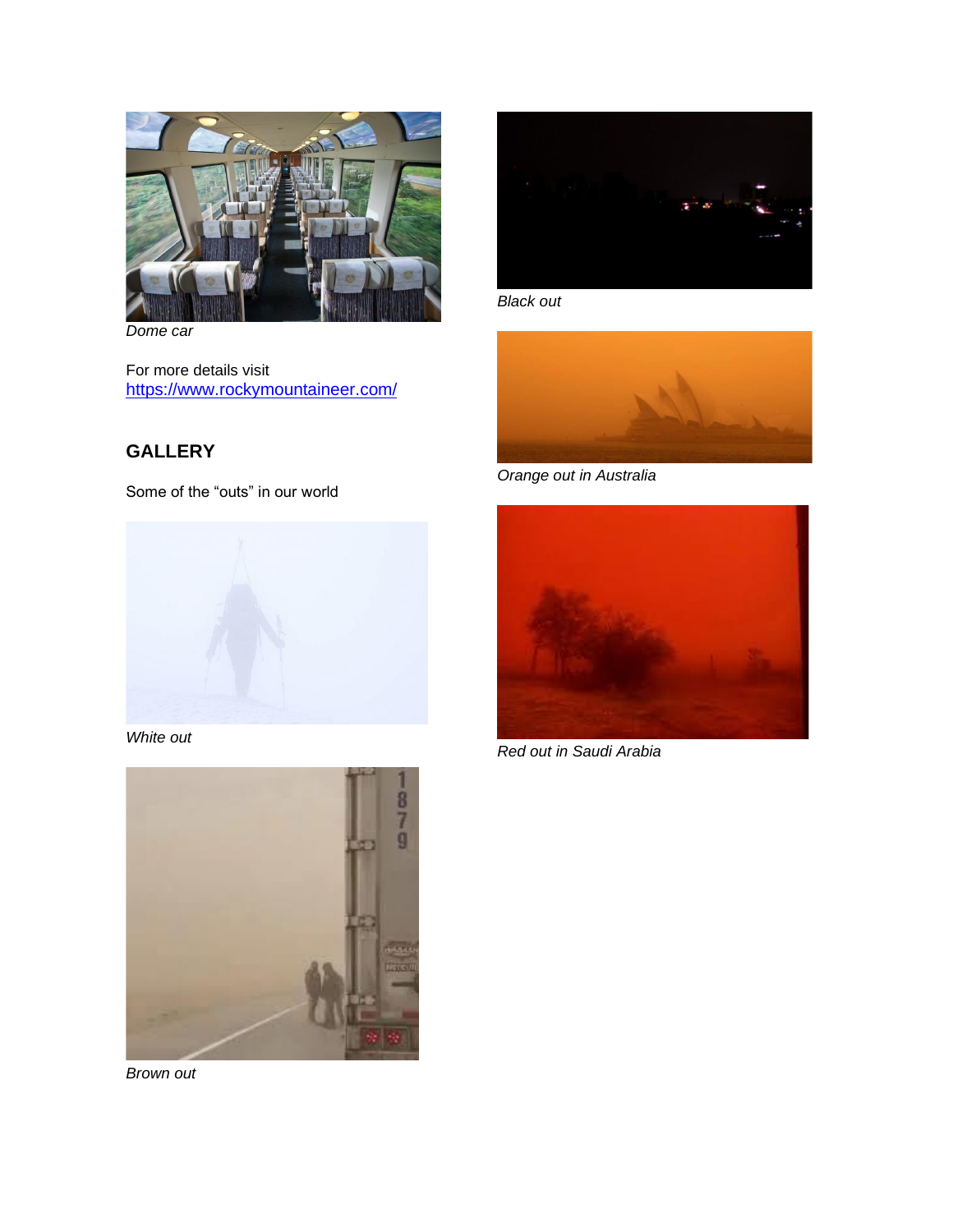

*Dome car*

For more details visit <https://www.rockymountaineer.com/>

# **GALLERY**

Some of the "outs" in our world



*White out*



*Brown out*



*Black out*



*Orange out in Australia*



*Red out in Saudi Arabia*